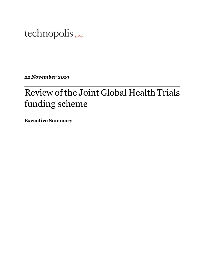# technopolis |group|

*22 November 2019*

# Review of the Joint Global Health Trials funding scheme

**Executive Summary**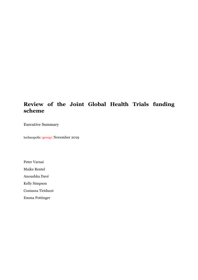# **Review of the Joint Global Health Trials funding scheme**

Executive Summary

technopolis |group| November 2019

Peter Varnai

Maike Rentel

Anoushka Davé

Kelly Simpson

Costanza Tiriduzzi

Emma Pottinger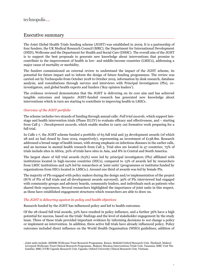## Executive summary

The Joint Global Health Trials funding scheme (JGHT) was established in 2009. It is a partnership of four funders, the UK Medical Research Council (MRC), the Department for International Development (DfID), Wellcome and the Department for Health and Social Care (DHSC). The overall aim of the JGHT is to support the best proposals to generate new knowledge about interventions that promise to contribute to the improvement of health in low- and middle-income countries (LMICs), addressing a major cause of mortality or morbidity.

The funders commissioned an external review to understand the impact of the JGHT scheme, its potential for future impact and to inform the design of future funding programmes. The review was carried out by Technopolis from October 2018 to October 2019, information by desk research, database analysis, and consultations through surveys and interviews with Principal Investigators (PIs), coinvestigators, and global health experts and funders ('Key opinion leaders').

The evidence reviewed demonstrates that the JGHT is delivering on its core aim and has achieved tangible outcomes and impacts: JGHT-funded research has generated new knowledge about interventions which in turn are starting to contribute to improving health in LMICs.

#### *Overview of the JGHT portfolio*

The scheme includes two strands of funding through annual calls: *Full trial awards*, which support latestage and health intervention trials (Phase III/IV) to evaluate efficacy and effectiveness, and – starting from Call 5 – *Development awards*, which enable studies to carry out formative work preparing for a full trial.

In Calls 1-7, the JGHT scheme funded a portfolio of 63 full trial and 33 development awards (of which 28 and 22 had closed by June 2019, respectively), representing an investment of £138.8m. Research addressed a broad range of health issues, with strong emphasis on infectious diseases in the earlier calls, and an increase in mental health research from Call 5. Trial sites are located in 47 countries; 75% of trials include sites in Africa, 30% of trials have sites in Asia, and 8% in Central and South America.

The largest share of full trial awards (63%) were led by principal investigators (PIs) affiliated with institutions located in high-income countries (HICs), compared to 13% of awards led by researchers from LMIC institutions and 24% led by researchers at 'joint units' (programmes or institutes funded by organisations from HICs located in LMICs1). Around one third of awards was led by female PIs.

The majority of PIs engaged with policy makers during the design and/or implementation of the project (87% of PIs of full trials and all development awards surveyed). 39% of PIs interviewed had engaged with community groups and advisory boards, community leaders, and individuals such as patients who shared their experiences. Several researchers highlighted the importance of joint units in this respect, as these have established engagement structures which researchers are able to draw on.

#### *The JGHT is delivering against its policy and health objectives*

Research funded by the JGHT has influenced policy and led to health outcomes.

Of the 28 closed full trial awards, 32% have resulted in policy influence, and a further 36% have a high potential for success, based on the trials' findings and the level of stakeholder engagement by the study team. Three of these trials provided important evidence by informing decisions to *not* change a policy or implement an intervention. In addition, three active full trials have already influenced policy. Policy outcomes included direct influence on the World Health Organisation (WHO) guidelines; addition of

<sup>1</sup> Joint units include: KEMRI Wellcome Trust Research Programme, Kenya; Mahidol Oxford Research Unit, Thailand; Malawi-Liverpool-Wellcome Trust Clinical Research Programme, Malawi; Mwanza Interventions Trials Unit, Tanzania; MRC Unit The Gambia; MRC/UVRI Uganda Research Unit, Uganda; Oxford University Clinical Research Unit, Vietnam.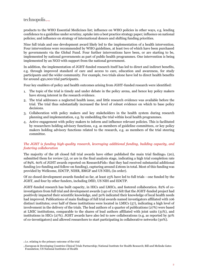### technopolis

products to the WHO Essential Medicines list; influence on WHO policies in other ways, e.g. lending confidence to a guideline under scrutiny, uptake into a best practice strategy paper; influence on national policies; and influence on strategy of international donors and shifting funding priorities.

Nine full trials and one development award likely led to the implementation of a health intervention. Four interventions were recommended by WHO guidelines, at least two of which have been purchased by governments via the Global Fund. Four further interventions have been, or are starting to be, implemented by national governments as part of public health programmes. One intervention is being implemented by an NGO with support from the national government.

In addition, the implementation of JGHT-funded research itself has led to direct and indirect benefits, e.g. through improved standard of care and access to care, education and awareness, for study participants and the wider community. For example, two trials alone have led to direct health benefits for around 450,000 trial participants.

Four key enablers of policy and health outcomes arising from JGHT-funded research were identified:

- The topic of the trial is timely and under debate in the policy arena, and hence key policy makers have strong interest in the research evidence.
- The trial addresses a neglected health issue, and little research evidence was available before the trial. The trial thus substantially increased the level of robust evidence on which to base policy decisions.
- Collaboration with policy makers and key stakeholders in the health system during research planning and implementation, e.g. by embedding the trial within local health programmes.
- Active engagement with policy makers to inform and influence relevant policies. This is facilitated by researchers holding advisory functions, e.g. as members of guideline committees, or key policy makers holding advisory functions related to the research, e.g. as members of the trial steering committee.

#### *The JGHT is funding high-quality research, leveraging additional funding, building capacity, and fostering collaboration*

The majority of the 28 closed full trial awards have either published the main trial findings $2(20)$ , submitted them for review (3), or are in the final analysis stage, indicating a high trial completion rate of 89%. 60% of JGHT awards reported on Research Fish that they had received substantial additional funding (co-funding and follow-on funding), capturing around £160m in total. Most of this funding was provided by Wellcome, EDCTP, NIHR, BMGF and US NIH<sup>3</sup> (in order).

Of 22 closed development awards funded so far, at least 23% have led to full trials - one funded by the JGHT, and four by other funders, including DfID, US NIH and EDCTP.

JGHT-funded research has built capacity, in HICs and LMICs, and fostered collaboration. 82% of coinvestigators from full trial and development awards (140 of 170) felt that the JGHT-funded project had positively impacted their scientific knowledge, and 50% indicated their knowledge of local health needs had improved. Publications of main findings of full trial awards named investigators affiliated with 106 distinct institutes; over half of these institutions were located in LMICs (57), indicating a high level of involvement in the delivery of the trials. The lead authors of a quarter of publications (27%) were based at LMIC institutions, comparable to the shares of lead authors affiliated with joint units (31%), and institutions in HICs (27%). JGHT awards have also led to new collaborations (e.g. as reported by 50% of co-investigators) and allowed researchers to start participating in collaborative networks (30%).

<sup>2</sup> i.e. relating to the primary outcome of the trial

<sup>3</sup> European & Developing Countries Clinical Trials Partnership; National Institute for Health Research; Bill and Melinda Gates Foundation; US National Institutes of Health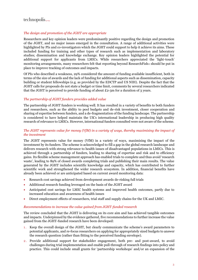### $technopolis_{|group|}$

#### *The design and promotion of the JGHT are appropriate*

Researchers and key opinion leaders were predominantly positive regarding the design and promotion of the JGHT, and no major issues emerged in the consultation. A range of additional activities were highlighted by PIs and co-investigators which the JGHT could support to help it achieve its aims. These included funding for training and other types of research such as implementation and laboratory studies; dissemination and knowledge exchange. Key opinion leaders highlighted the potential for additional support for applicants from LMICs. While researchers appreciated the 'light-touch' monitoring arrangements, many researchers felt that reporting beyond Research Fish ® should be put in place to improve tracking of outcomes and impacts.

Of PIs who described a weakness, 29% considered the amount of funding available insufficient, both in terms of the size of awards and the lack of funding for additional aspects such as dissemination, capacity building or student fellowships (e.g. as provided by the EDCTP and US NIH). Despite the fact that the JGHT calls for proposals do not state a budget or time limit, comments by several researchers indicated that the JGHT is perceived to provide funding of about  $E_2$ -3m for a duration of 3 years.

#### *The partnership of JGHT funders provides added value*

The partnership of JGHT funders is working well. It has resulted in a variety of benefits to both funders and researchers, such as the ability to pool budgets and de-risk investment, closer cooperation and sharing of expertise between funders, and a de-fragmentation of the funding landscape. The partnership is considered to have helped maintain the UK's international leadership in producing high quality research of relevance to LMICs. However, international funders consulted were not aware of the scheme.

#### *The JGHT represents value for money (VfM) in a variety of ways, thereby maximising the impact of the investment*

The JGHT represents value for money (VfM) in a variety of ways, maximising the impact of the investment by its funders. The scheme is acknowledged to fill a gap in the global research landscape and delivers research with strong relevance to health issues of disadvantaged populations in LMICs. This is achieved through a partnership of funders, leading to sharing of expertise and risk and to efficiency gains. Its flexible scheme management approach has enabled trials to complete and thus avoid 'research waste', leading to 89% of closed awards completing trials and publishing their main results. The value generated by the JGHT includes scientific knowledge and capacity, which has contributed to further scientific work and strengthened the wider research ecosystem. In addition, financial benefits have already been achieved or are anticipated based on current award monitoring data:

- Research cost savings achieved from development awards de-risking full trials
- Additional research funding leveraged on the basis of the JGHT award
- Anticipated cost savings for LMIC health systems and improved health outcomes, partly due to increased education and awareness of health issues
- Direct employment effects of researchers, trial staff and supply chains for the UK and LMIC.

#### *Recommendations to increase the value gained from JGHT-funded research*

The review concluded that the JGHT is delivering on its core aim and has achieved tangible outcomes and impacts. Underpinned by the evidence gathered, five recommendations to further increase the value gained from the JGHT-funded research have been developed:

- 1 . Keep the overall design of the JGHT, but clearly communicate the scheme's award parameters to potential applicants, and re-focus researchers on applying for appropriately sized budgets to answer the research question (rather than fitting to the perceived funding envelope).
- 2 . Provide additional support for stakeholder engagement, both pre- and post-award, to avoid challenges during trial implementation and enable pull-through of research findings into policy and practice. This could include small grants for 'partnership workshops' and/or an expansion of the